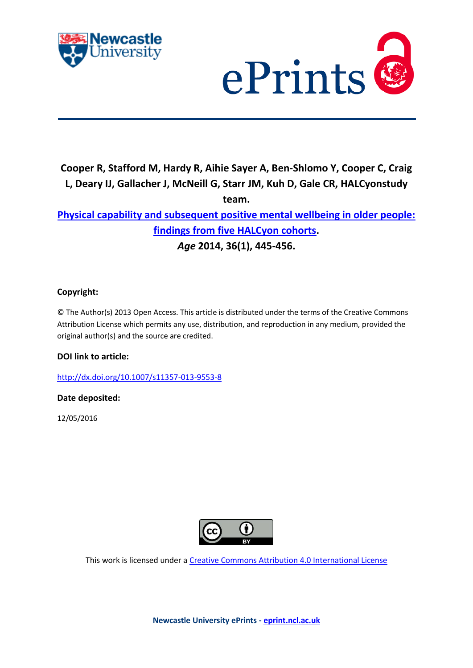



# **Cooper R, Stafford M, Hardy R, Aihie Sayer A, Ben-Shlomo Y, Cooper C, Craig L, Deary IJ, Gallacher J, McNeill G, Starr JM, Kuh D, Gale CR, HALCyonstudy team.**

# **[Physical capability and subsequent positive mental wellbeing in older people:](javascript:ViewPublication(224303);)  [findings from five HALCyon cohorts.](javascript:ViewPublication(224303);)**  *Age* **2014, 36(1), 445-456.**

# **Copyright:**

© The Author(s) 2013 Open Access. This article is distributed under the terms of the Creative Commons Attribution License which permits any use, distribution, and reproduction in any medium, provided the original author(s) and the source are credited.

# **DOI link to article:**

<http://dx.doi.org/10.1007/s11357-013-9553-8>

# **Date deposited:**

12/05/2016



This work is licensed under [a Creative Commons Attribution 4.0 International License](http://creativecommons.org/licenses/by/4.0/)

**Newcastle University ePrints - [eprint.ncl.ac.uk](http://eprint.ncl.ac.uk/)**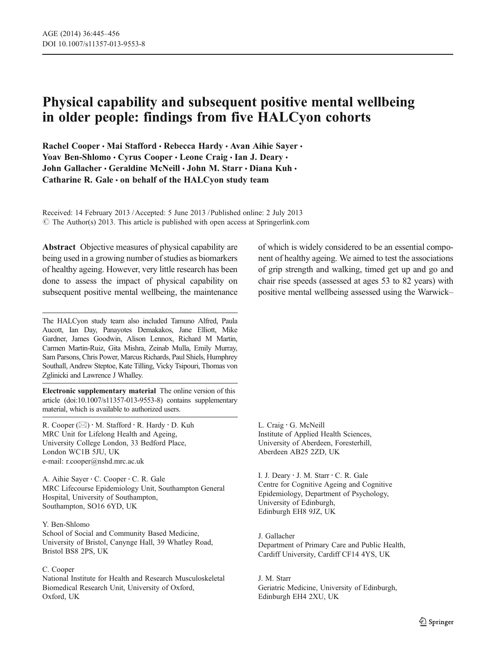# Physical capability and subsequent positive mental wellbeing in older people: findings from five HALCyon cohorts

Rachel Cooper • Mai Stafford • Rebecca Hardy • Avan Aihie Sayer • Yoav Ben-Shlomo · Cyrus Cooper · Leone Craig · Ian J. Deary · John Gallacher · Geraldine McNeill · John M. Starr · Diana Kuh · Catharine R. Gale  $\cdot$  on behalf of the HALCyon study team

Received: 14 February 2013 /Accepted: 5 June 2013 / Published online: 2 July 2013  $\odot$  The Author(s) 2013. This article is published with open access at Springerlink.com

Abstract Objective measures of physical capability are being used in a growing number of studies as biomarkers of healthy ageing. However, very little research has been done to assess the impact of physical capability on subsequent positive mental wellbeing, the maintenance

The HALCyon study team also included Tamuno Alfred, Paula Aucott, Ian Day, Panayotes Demakakos, Jane Elliott, Mike Gardner, James Goodwin, Alison Lennox, Richard M Martin, Carmen Martin-Ruiz, Gita Mishra, Zeinab Mulla, Emily Murray, Sam Parsons, Chris Power, Marcus Richards, Paul Shiels, Humphrey Southall, Andrew Steptoe, Kate Tilling, Vicky Tsipouri, Thomas von Zglinicki and Lawrence J Whalley.

Electronic supplementary material The online version of this article (doi:[10.1007/s11357-013-9553-8\)](http://dx.doi.org/10.1007/s11357-013-9553-8) contains supplementary material, which is available to authorized users.

R. Cooper ( $\boxtimes$ ) · M. Stafford · R. Hardy · D. Kuh MRC Unit for Lifelong Health and Ageing, University College London, 33 Bedford Place, London WC1B 5JU, UK e-mail: r.cooper@nshd.mrc.ac.uk

A. Aihie Sayer : C. Cooper : C. R. Gale MRC Lifecourse Epidemiology Unit, Southampton General Hospital, University of Southampton, Southampton, SO16 6YD, UK

### Y. Ben-Shlomo

School of Social and Community Based Medicine, University of Bristol, Canynge Hall, 39 Whatley Road, Bristol BS8 2PS, UK

#### C. Cooper

National Institute for Health and Research Musculoskeletal Biomedical Research Unit, University of Oxford, Oxford, UK

of which is widely considered to be an essential component of healthy ageing. We aimed to test the associations of grip strength and walking, timed get up and go and chair rise speeds (assessed at ages 53 to 82 years) with positive mental wellbeing assessed using the Warwick–

L. Craig : G. McNeill Institute of Applied Health Sciences, University of Aberdeen, Foresterhill, Aberdeen AB25 2ZD, UK

I. J. Deary : J. M. Starr : C. R. Gale Centre for Cognitive Ageing and Cognitive Epidemiology, Department of Psychology, University of Edinburgh, Edinburgh EH8 9JZ, UK

J. Gallacher Department of Primary Care and Public Health, Cardiff University, Cardiff CF14 4YS, UK

J. M. Starr Geriatric Medicine, University of Edinburgh, Edinburgh EH4 2XU, UK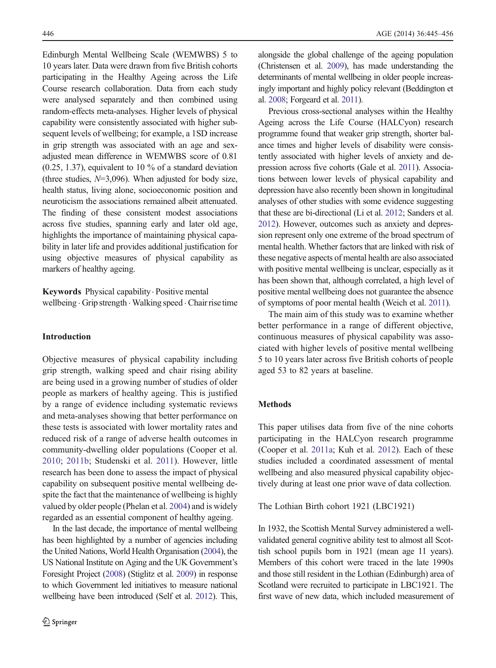Edinburgh Mental Wellbeing Scale (WEMWBS) 5 to 10 years later. Data were drawn from five British cohorts participating in the Healthy Ageing across the Life Course research collaboration. Data from each study were analysed separately and then combined using random-effects meta-analyses. Higher levels of physical capability were consistently associated with higher subsequent levels of wellbeing; for example, a 1SD increase in grip strength was associated with an age and sexadjusted mean difference in WEMWBS score of 0.81 (0.25, 1.37), equivalent to 10 % of a standard deviation (three studies,  $N=3,096$ ). When adjusted for body size, health status, living alone, socioeconomic position and neuroticism the associations remained albeit attenuated. The finding of these consistent modest associations across five studies, spanning early and later old age, highlights the importance of maintaining physical capability in later life and provides additional justification for using objective measures of physical capability as markers of healthy ageing.

Keywords Physical capability. Positive mental wellbeing . Grip strength . Walking speed . Chair rise time

# Introduction

Objective measures of physical capability including grip strength, walking speed and chair rising ability are being used in a growing number of studies of older people as markers of healthy ageing. This is justified by a range of evidence including systematic reviews and meta-analyses showing that better performance on these tests is associated with lower mortality rates and reduced risk of a range of adverse health outcomes in community-dwelling older populations (Cooper et al. [2010;](#page-11-0) [2011b](#page-11-0); Studenski et al. [2011](#page-12-0)). However, little research has been done to assess the impact of physical capability on subsequent positive mental wellbeing despite the fact that the maintenance of wellbeing is highly valued by older people (Phelan et al. [2004\)](#page-12-0) and is widely regarded as an essential component of healthy ageing.

In the last decade, the importance of mental wellbeing has been highlighted by a number of agencies including the United Nations, World Health Organisation ([2004\)](#page-12-0), the US National Institute on Aging and the UK Government's Foresight Project [\(2008](#page-11-0)) (Stiglitz et al. [2009](#page-12-0)) in response to which Government led initiatives to measure national wellbeing have been introduced (Self et al. [2012\)](#page-12-0). This, alongside the global challenge of the ageing population (Christensen et al. [2009\)](#page-11-0), has made understanding the determinants of mental wellbeing in older people increasingly important and highly policy relevant (Beddington et al. [2008](#page-11-0); Forgeard et al. [2011](#page-11-0)).

Previous cross-sectional analyses within the Healthy Ageing across the Life Course (HALCyon) research programme found that weaker grip strength, shorter balance times and higher levels of disability were consistently associated with higher levels of anxiety and depression across five cohorts (Gale et al. [2011\)](#page-11-0). Associations between lower levels of physical capability and depression have also recently been shown in longitudinal analyses of other studies with some evidence suggesting that these are bi-directional (Li et al. [2012](#page-11-0); Sanders et al. [2012](#page-12-0)). However, outcomes such as anxiety and depression represent only one extreme of the broad spectrum of mental health. Whether factors that are linked with risk of these negative aspects of mental health are also associated with positive mental wellbeing is unclear, especially as it has been shown that, although correlated, a high level of positive mental wellbeing does not guarantee the absence of symptoms of poor mental health (Weich et al. [2011\)](#page-12-0).

The main aim of this study was to examine whether better performance in a range of different objective, continuous measures of physical capability was associated with higher levels of positive mental wellbeing 5 to 10 years later across five British cohorts of people aged 53 to 82 years at baseline.

#### Methods

This paper utilises data from five of the nine cohorts participating in the HALCyon research programme (Cooper et al. [2011a](#page-11-0); Kuh et al. [2012\)](#page-11-0). Each of these studies included a coordinated assessment of mental wellbeing and also measured physical capability objectively during at least one prior wave of data collection.

The Lothian Birth cohort 1921 (LBC1921)

In 1932, the Scottish Mental Survey administered a wellvalidated general cognitive ability test to almost all Scottish school pupils born in 1921 (mean age 11 years). Members of this cohort were traced in the late 1990s and those still resident in the Lothian (Edinburgh) area of Scotland were recruited to participate in LBC1921. The first wave of new data, which included measurement of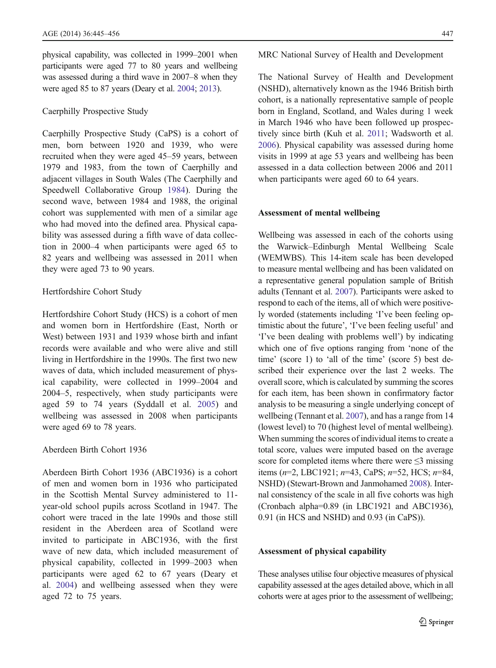physical capability, was collected in 1999–2001 when participants were aged 77 to 80 years and wellbeing was assessed during a third wave in 2007–8 when they were aged 85 to 87 years (Deary et al. [2004;](#page-11-0) [2013](#page-11-0)).

## Caerphilly Prospective Study

Caerphilly Prospective Study (CaPS) is a cohort of men, born between 1920 and 1939, who were recruited when they were aged 45–59 years, between 1979 and 1983, from the town of Caerphilly and adjacent villages in South Wales (The Caerphilly and Speedwell Collaborative Group [1984\)](#page-12-0). During the second wave, between 1984 and 1988, the original cohort was supplemented with men of a similar age who had moved into the defined area. Physical capability was assessed during a fifth wave of data collection in 2000–4 when participants were aged 65 to 82 years and wellbeing was assessed in 2011 when they were aged 73 to 90 years.

#### Hertfordshire Cohort Study

Hertfordshire Cohort Study (HCS) is a cohort of men and women born in Hertfordshire (East, North or West) between 1931 and 1939 whose birth and infant records were available and who were alive and still living in Hertfordshire in the 1990s. The first two new waves of data, which included measurement of physical capability, were collected in 1999–2004 and 2004–5, respectively, when study participants were aged 59 to 74 years (Syddall et al. [2005\)](#page-12-0) and wellbeing was assessed in 2008 when participants were aged 69 to 78 years.

## Aberdeen Birth Cohort 1936

Aberdeen Birth Cohort 1936 (ABC1936) is a cohort of men and women born in 1936 who participated in the Scottish Mental Survey administered to 11 year-old school pupils across Scotland in 1947. The cohort were traced in the late 1990s and those still resident in the Aberdeen area of Scotland were invited to participate in ABC1936, with the first wave of new data, which included measurement of physical capability, collected in 1999–2003 when participants were aged 62 to 67 years (Deary et al. [2004\)](#page-11-0) and wellbeing assessed when they were aged 72 to 75 years.

#### MRC National Survey of Health and Development

The National Survey of Health and Development (NSHD), alternatively known as the 1946 British birth cohort, is a nationally representative sample of people born in England, Scotland, and Wales during 1 week in March 1946 who have been followed up prospectively since birth (Kuh et al. [2011](#page-11-0); Wadsworth et al. [2006\)](#page-12-0). Physical capability was assessed during home visits in 1999 at age 53 years and wellbeing has been assessed in a data collection between 2006 and 2011 when participants were aged 60 to 64 years.

#### Assessment of mental wellbeing

Wellbeing was assessed in each of the cohorts using the Warwick–Edinburgh Mental Wellbeing Scale (WEMWBS). This 14-item scale has been developed to measure mental wellbeing and has been validated on a representative general population sample of British adults (Tennant et al. [2007](#page-12-0)). Participants were asked to respond to each of the items, all of which were positively worded (statements including 'I've been feeling optimistic about the future', 'I've been feeling useful' and 'I've been dealing with problems well') by indicating which one of five options ranging from 'none of the time' (score 1) to 'all of the time' (score 5) best described their experience over the last 2 weeks. The overall score, which is calculated by summing the scores for each item, has been shown in confirmatory factor analysis to be measuring a single underlying concept of wellbeing (Tennant et al. [2007](#page-12-0)), and has a range from 14 (lowest level) to 70 (highest level of mental wellbeing). When summing the scores of individual items to create a total score, values were imputed based on the average score for completed items where there were  $\leq$ 3 missing items ( $n=2$ , LBC1921;  $n=43$ , CaPS;  $n=52$ , HCS;  $n=84$ , NSHD) (Stewart-Brown and Janmohamed [2008](#page-12-0)). Internal consistency of the scale in all five cohorts was high (Cronbach alpha=0.89 (in LBC1921 and ABC1936), 0.91 (in HCS and NSHD) and 0.93 (in CaPS)).

#### Assessment of physical capability

These analyses utilise four objective measures of physical capability assessed at the ages detailed above, which in all cohorts were at ages prior to the assessment of wellbeing;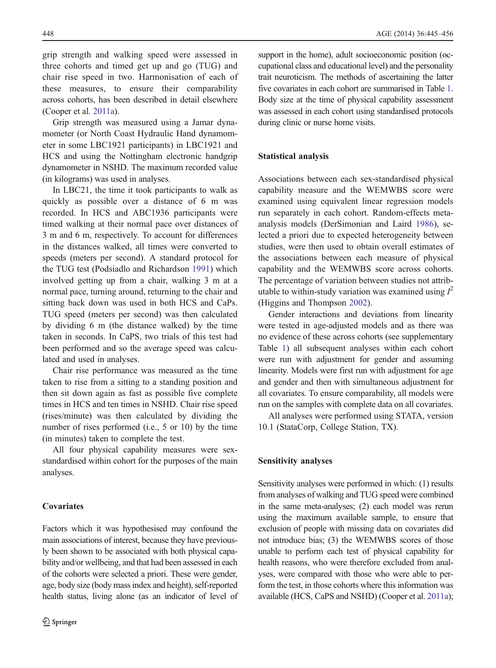grip strength and walking speed were assessed in three cohorts and timed get up and go (TUG) and chair rise speed in two. Harmonisation of each of these measures, to ensure their comparability across cohorts, has been described in detail elsewhere (Cooper et al. [2011a](#page-11-0)).

Grip strength was measured using a Jamar dynamometer (or North Coast Hydraulic Hand dynamometer in some LBC1921 participants) in LBC1921 and HCS and using the Nottingham electronic handgrip dynamometer in NSHD. The maximum recorded value (in kilograms) was used in analyses.

In LBC21, the time it took participants to walk as quickly as possible over a distance of 6 m was recorded. In HCS and ABC1936 participants were timed walking at their normal pace over distances of 3 m and 6 m, respectively. To account for differences in the distances walked, all times were converted to speeds (meters per second). A standard protocol for the TUG test (Podsiadlo and Richardson [1991\)](#page-12-0) which involved getting up from a chair, walking 3 m at a normal pace, turning around, returning to the chair and sitting back down was used in both HCS and CaPs. TUG speed (meters per second) was then calculated by dividing 6 m (the distance walked) by the time taken in seconds. In CaPS, two trials of this test had been performed and so the average speed was calculated and used in analyses.

Chair rise performance was measured as the time taken to rise from a sitting to a standing position and then sit down again as fast as possible five complete times in HCS and ten times in NSHD. Chair rise speed (rises/minute) was then calculated by dividing the number of rises performed (i.e., 5 or 10) by the time (in minutes) taken to complete the test.

All four physical capability measures were sexstandardised within cohort for the purposes of the main analyses.

## **Covariates**

Factors which it was hypothesised may confound the main associations of interest, because they have previously been shown to be associated with both physical capability and/or wellbeing, and that had been assessed in each of the cohorts were selected a priori. These were gender, age, body size (body mass index and height), self-reported health status, living alone (as an indicator of level of support in the home), adult socioeconomic position (occupational class and educational level) and the personality trait neuroticism. The methods of ascertaining the latter five covariates in each cohort are summarised in Table [1.](#page-5-0) Body size at the time of physical capability assessment was assessed in each cohort using standardised protocols during clinic or nurse home visits.

# Statistical analysis

Associations between each sex-standardised physical capability measure and the WEMWBS score were examined using equivalent linear regression models run separately in each cohort. Random-effects metaanalysis models (DerSimonian and Laird [1986\)](#page-11-0), selected a priori due to expected heterogeneity between studies, were then used to obtain overall estimates of the associations between each measure of physical capability and the WEMWBS score across cohorts. The percentage of variation between studies not attributable to within-study variation was examined using  $I^2$ (Higgins and Thompson [2002](#page-11-0)).

Gender interactions and deviations from linearity were tested in age-adjusted models and as there was no evidence of these across cohorts (see supplementary Table 1) all subsequent analyses within each cohort were run with adjustment for gender and assuming linearity. Models were first run with adjustment for age and gender and then with simultaneous adjustment for all covariates. To ensure comparability, all models were run on the samples with complete data on all covariates.

All analyses were performed using STATA, version 10.1 (StataCorp, College Station, TX).

# Sensitivity analyses

Sensitivity analyses were performed in which: (1) results from analyses of walking and TUG speed were combined in the same meta-analyses; (2) each model was rerun using the maximum available sample, to ensure that exclusion of people with missing data on covariates did not introduce bias; (3) the WEMWBS scores of those unable to perform each test of physical capability for health reasons, who were therefore excluded from analyses, were compared with those who were able to perform the test, in those cohorts where this information was available (HCS, CaPS and NSHD) (Cooper et al. [2011a\)](#page-11-0);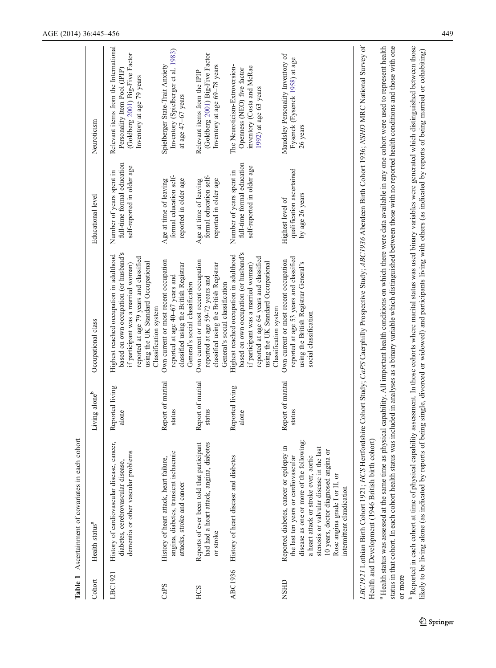<span id="page-5-0"></span>

| Cohort  | Health status <sup>a</sup>                                                                                                                                                                                                                                                                                                                                                                                                                                                                  | Living alone <sup>b</sup>   | Occupational class                                                                                                                                                                                                                | Educational level                                                                    | Neuroticism                                                                                                                           |
|---------|---------------------------------------------------------------------------------------------------------------------------------------------------------------------------------------------------------------------------------------------------------------------------------------------------------------------------------------------------------------------------------------------------------------------------------------------------------------------------------------------|-----------------------------|-----------------------------------------------------------------------------------------------------------------------------------------------------------------------------------------------------------------------------------|--------------------------------------------------------------------------------------|---------------------------------------------------------------------------------------------------------------------------------------|
| LBC1921 | History of cardiovascular disease, cancer,<br>dementia or other vascular problems<br>diabetes, cerebrovascular disease,                                                                                                                                                                                                                                                                                                                                                                     | Reported living<br>alone    | based on own occupation (or husband's<br>Highest reached occupation in adulthood<br>reported at age 79 years and classified<br>using the UK Standard Occupational<br>if participant was a married woman)<br>Classification system | full-time formal education<br>self-reported in older age<br>Number of years spent in | Relevant items from the International<br>(Goldberg 2001) Big-Five Factor<br>Personality Item Pool (IPIP)<br>Inventory at age 79 years |
| CaPS    | angina, diabetes, transient ischaemic<br>History of heart attack, heart failure,<br>attacks, stroke and cancer                                                                                                                                                                                                                                                                                                                                                                              | Report of marital<br>status | Own current or most recent occupation<br>classified using the British Registrar<br>reported at age 40-67 years and<br>General's social classification                                                                             | formal education self-<br>reported in older age<br>Age at time of leaving            | Inventory (Spielberger et al. 1983)<br>Spielberger State-Trait Anxiety<br>at age $47-67$ years                                        |
| HCS     | Reports of ever been told that participant<br>had had a heart attack, angina, diabetes<br>or stroke                                                                                                                                                                                                                                                                                                                                                                                         | Report of marital<br>status | Own current or most recent occupation<br>classified using the British Registrar<br>reported at age 59-72 years and<br>General's social classification                                                                             | formal education self-<br>reported in older age<br>Age at time of leaving            | (Goldberg 2001) Big-Five Factor<br>Inventory at age 69-78 years<br>Relevant items from the IPIP                                       |
| ABC1936 | History of heart disease and diabetes                                                                                                                                                                                                                                                                                                                                                                                                                                                       | Reported living<br>alone    | based on own occupation (or husband's<br>Highest reached occupation in adulthood<br>reported at age 64 years and classified<br>using the UK Standard Occupational<br>if participant was a married woman)<br>Classification system | full-time formal education<br>self-reported in older age<br>Number of years spent in | The Neuroticism-Extroversion-<br>inventory (Costa and McRae<br>Openness (NEO) five factor<br>1992) at age 63 years                    |
| NSHD    | disease as one or more of the following:<br>Reported diabetes, cancer or epilepsy in<br>stenosis or valvular disease in the last<br>10 years, doctor diagnosed angina or<br>a heart attack or stroke ever, aortic<br>the last ten years or cardiovascular<br>Rose angina grade I or II, or<br>intermittent claudication                                                                                                                                                                     | Report of marital<br>status | reported at age 53 years and classified<br>Own current or most recent occupation<br>using the British Registrar General's<br>social classification                                                                                | qualification ascertained<br>by age 26 years<br>Highest level of                     | Maudsley Personality Inventory of<br>Eysenck (Eysenck 1958) at age<br>26 years                                                        |
|         | LBC1921 Lothian Birth Cohort 1921; HCS Hertfordshire Cohort Study; CaPS Caerphilly Prospective Study; ABC1936 Aberdeen Birth Cohort 1936; NSHD MRC National Survey of<br><sup>a</sup> Health status was assessed at the same time as physical capability. All important health conditions on which there were data available in any one cohort were used to represent health<br>Health and Development (1946 British birth cohort)<br>status in that cohort. In each cohort health status w |                             | as included in analyses as a binary variable which distinguished between those with no reported health conditions and those with one                                                                                              |                                                                                      |                                                                                                                                       |

Table 1 Ascertainment of covariates in each cohort Table 1 Ascertainment of covariates in each cohort

 $\overline{a}$ or more or more

<sup>b</sup>Reported in each cohort at time of physical capability assessment. In those cohorts where marital status was used binary variables were generated which distinguished between those likely to be living alone (as indicated b Reported in each cohort at time of physical capability assessment. In those cohorts where marital status was used binary variables were generated which distinguished between those likely to be living alone (as indicated by reports of being single, divorced or widowed) and participants living with others (as indicated by reports of being married or cohabiting)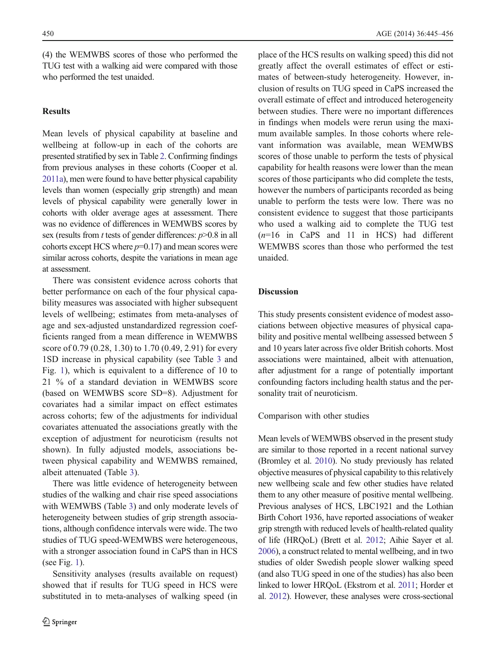(4) the WEMWBS scores of those who performed the TUG test with a walking aid were compared with those who performed the test unaided.

### **Results**

Mean levels of physical capability at baseline and wellbeing at follow-up in each of the cohorts are presented stratified by sex in Table [2](#page-7-0). Confirming findings from previous analyses in these cohorts (Cooper et al. [2011a\)](#page-11-0), men were found to have better physical capability levels than women (especially grip strength) and mean levels of physical capability were generally lower in cohorts with older average ages at assessment. There was no evidence of differences in WEMWBS scores by sex (results from  $t$  tests of gender differences:  $p > 0.8$  in all cohorts except HCS where  $p=0.17$ ) and mean scores were similar across cohorts, despite the variations in mean age at assessment.

There was consistent evidence across cohorts that better performance on each of the four physical capability measures was associated with higher subsequent levels of wellbeing; estimates from meta-analyses of age and sex-adjusted unstandardized regression coefficients ranged from a mean difference in WEMWBS score of 0.79 (0.28, 1.30) to 1.70 (0.49, 2.91) for every 1SD increase in physical capability (see Table [3](#page-8-0) and Fig. [1](#page-9-0)), which is equivalent to a difference of 10 to 21 % of a standard deviation in WEMWBS score (based on WEMWBS score SD=8). Adjustment for covariates had a similar impact on effect estimates across cohorts; few of the adjustments for individual covariates attenuated the associations greatly with the exception of adjustment for neuroticism (results not shown). In fully adjusted models, associations between physical capability and WEMWBS remained, albeit attenuated (Table [3](#page-8-0)).

There was little evidence of heterogeneity between studies of the walking and chair rise speed associations with WEMWBS (Table [3](#page-8-0)) and only moderate levels of heterogeneity between studies of grip strength associations, although confidence intervals were wide. The two studies of TUG speed-WEMWBS were heterogeneous, with a stronger association found in CaPS than in HCS (see Fig. [1\)](#page-9-0).

Sensitivity analyses (results available on request) showed that if results for TUG speed in HCS were substituted in to meta-analyses of walking speed (in place of the HCS results on walking speed) this did not greatly affect the overall estimates of effect or estimates of between-study heterogeneity. However, inclusion of results on TUG speed in CaPS increased the overall estimate of effect and introduced heterogeneity between studies. There were no important differences in findings when models were rerun using the maximum available samples. In those cohorts where relevant information was available, mean WEMWBS scores of those unable to perform the tests of physical capability for health reasons were lower than the mean scores of those participants who did complete the tests, however the numbers of participants recorded as being unable to perform the tests were low. There was no consistent evidence to suggest that those participants who used a walking aid to complete the TUG test  $(n=16$  in CaPS and 11 in HCS) had different WEMWBS scores than those who performed the test unaided.

#### Discussion

This study presents consistent evidence of modest associations between objective measures of physical capability and positive mental wellbeing assessed between 5 and 10 years later across five older British cohorts. Most associations were maintained, albeit with attenuation, after adjustment for a range of potentially important confounding factors including health status and the personality trait of neuroticism.

Comparison with other studies

Mean levels of WEMWBS observed in the present study are similar to those reported in a recent national survey (Bromley et al. [2010\)](#page-11-0). No study previously has related objective measures of physical capability to this relatively new wellbeing scale and few other studies have related them to any other measure of positive mental wellbeing. Previous analyses of HCS, LBC1921 and the Lothian Birth Cohort 1936, have reported associations of weaker grip strength with reduced levels of health-related quality of life (HRQoL) (Brett et al. [2012](#page-11-0); Aihie Sayer et al. [2006](#page-11-0)), a construct related to mental wellbeing, and in two studies of older Swedish people slower walking speed (and also TUG speed in one of the studies) has also been linked to lower HRQoL (Ekstrom et al. [2011](#page-11-0); Horder et al. [2012](#page-11-0)). However, these analyses were cross-sectional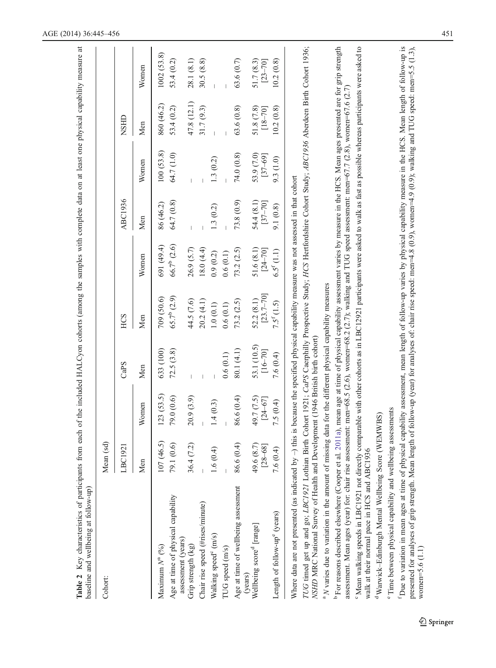<span id="page-7-0"></span>

| Table 2 Key characteristics of participants from each of the included HALCyon cohorts (among the samples with complete data on at least one physical capability measure<br>baseline and wellbeing at follow-up)                                                                                                                                                                                       |                                  |                           |                            |                                                                                                                                     |                                       |                           |                           |                           | $\ddot{a}$                |
|-------------------------------------------------------------------------------------------------------------------------------------------------------------------------------------------------------------------------------------------------------------------------------------------------------------------------------------------------------------------------------------------------------|----------------------------------|---------------------------|----------------------------|-------------------------------------------------------------------------------------------------------------------------------------|---------------------------------------|---------------------------|---------------------------|---------------------------|---------------------------|
| Cohort:                                                                                                                                                                                                                                                                                                                                                                                               | (bs<br>Mean (                    |                           |                            |                                                                                                                                     |                                       |                           |                           |                           |                           |
|                                                                                                                                                                                                                                                                                                                                                                                                       | LBC1921                          |                           | CaPS                       | HCS                                                                                                                                 |                                       | ABC1936                   |                           | NSHID                     |                           |
|                                                                                                                                                                                                                                                                                                                                                                                                       | Men                              | Women                     | Men                        | Men                                                                                                                                 | Women                                 | Men                       | Women                     | Men                       | Women                     |
| Age at time of physical capability<br>Maximum $N^a$ (%)                                                                                                                                                                                                                                                                                                                                               | 107(46.5)<br>$\odot$<br>79.1 (0. | 123(53.5)<br>79.0 (0.6)   | 633 (100)<br>72.5(3.8)     | $65.7^{\circ}$ (2.9)<br>709 (50.6)                                                                                                  | 66.7 <sup>b</sup> (2.6)<br>691 (49.4) | 64.7 (0.8)<br>86 (46.2)   | 100(53.8)<br>64.7 (1.0)   | 860 (46.2)<br>53.4 (0.2)  | 1002(53.8)<br>53.4 (0.2)  |
| assessment (years)<br>Grip strength (kg)                                                                                                                                                                                                                                                                                                                                                              | $\widetilde{\Omega}$<br>36.4(7)  | 20.9(3.9)                 |                            | 44.5 (7.6)                                                                                                                          | 26.9 (5.7)                            |                           |                           | 47.8 (12.1)               | 28.1 (8.1)                |
| Chair rise speed (#rises/minute)                                                                                                                                                                                                                                                                                                                                                                      |                                  |                           |                            | 20.2(4.1)                                                                                                                           | 18.0 (4.4)                            |                           |                           | 31.7(9.3)                 | 30.5(8.8)                 |
| Walking speed <sup>c</sup> (m/s)                                                                                                                                                                                                                                                                                                                                                                      | 1.6(0.4)                         | 1.4(0.3)                  |                            | 1.0(0.1)                                                                                                                            | 0.9(0.2)                              | 1.3(0.2)                  | 1.3(0.2)                  |                           |                           |
| TUG speed (m/s)                                                                                                                                                                                                                                                                                                                                                                                       |                                  |                           | 0.6(0.1)                   | 0.6(0.1)                                                                                                                            | 0.6(0.1)                              |                           |                           |                           |                           |
| Age at time of wellbeing assessment<br>(years)                                                                                                                                                                                                                                                                                                                                                        | 86.6 (0.4)                       | 86.6 (0.4)                | 80.1 (4.1)                 | 73.2 (2.5)                                                                                                                          | 73.2 (2.5)                            | 73.8 (0.9)                | 74.0 (0.8)                | 63.6 (0.8)                | 63.6(0.7)                 |
| Wellbeing score <sup>d</sup> [range]                                                                                                                                                                                                                                                                                                                                                                  | 49.6 (8.7)<br>$[28 - 68]$        | 49.7 (7.5)<br>$[24 - 67]$ | 53.1 (10.5)<br>$[16 - 70]$ | $[23.7 - 70]$<br>52.2(8.1)                                                                                                          | 51.6(8.1)<br>$[24 - 70]$              | 54.4 (8.1)<br>$[37 - 70]$ | 53.9 (7.0)<br>$[37 - 69]$ | 51.8 (7.8)<br>$[18 - 70]$ | 51.7 (8.3)<br>$[23 - 70]$ |
| Length of follow-up <sup>e</sup> (years)                                                                                                                                                                                                                                                                                                                                                              | 7.6 $(0.4)$                      | 7.5(0.4)                  | 7.6 (0.4)                  | $7.5^{f} (1.5)$                                                                                                                     | $6.5^{f}(1.1)$                        | 9.1 (0.8)                 | 9.3 (1.0)                 | 10.2(0.8)                 | 10.2(0.8)                 |
| TUG timed get up and go; LBC1921 Lothian Birth Cohort 1921; CaPS Caerphilly Prospective Study; HCS Hertfordshire Cohort Study; ABC1936 Aberdeen Birth Cohort 1936;<br>Where data are not presented (as indicated by $-$ ) this is because the specified physical capability measure was not assessed in that cohort<br>NSHD MRC National Survey of Health and Development (1946 British birth cohort) |                                  |                           |                            |                                                                                                                                     |                                       |                           |                           |                           |                           |
| <sup>a</sup> N varies due to variation in the amount of missing data for the different physical capability measures                                                                                                                                                                                                                                                                                   |                                  |                           |                            |                                                                                                                                     |                                       |                           |                           |                           |                           |
| assessment. Mean ages (year) for: chair rise assessment: men=68.5 (2.6), women=68.2 (2.7); walking and TUG speed assessment: men=67.7 (2.8), women=67.6 (2.7)<br><sup>b</sup> For reasons described elsewhere (Cooper et al.                                                                                                                                                                          |                                  |                           |                            | 2011a), mean age at time of physical capability assessment varies by measure in the HCS. Mean ages presented are for grip strength  |                                       |                           |                           |                           |                           |
| walk at their normal pace in HCS and ABC193<br><sup>c</sup> Mean walking speeds in LBC1921 not directly                                                                                                                                                                                                                                                                                               |                                  |                           |                            | comparable with other cohorts as in LBC12921 participants were asked to walk as fast as possible whereas participants were asked to |                                       |                           |                           |                           |                           |
| <sup>d</sup> Warwick-Edinburgh Mental Wellbeing Score (WEMWBS)                                                                                                                                                                                                                                                                                                                                        |                                  |                           |                            |                                                                                                                                     |                                       |                           |                           |                           |                           |
| "Time between physical capability and wellbein                                                                                                                                                                                                                                                                                                                                                        |                                  | g assessments             |                            |                                                                                                                                     |                                       |                           |                           |                           |                           |
| <sup>1</sup> Due to variation in mean ages at time of physical capability assessment, mean length of follow-up varies by physical capability measure in the HCS. Mean length of follow-up is<br>presented for analyses of grip strength. Mean ler<br>$women=5.6(1.1)$                                                                                                                                 |                                  |                           |                            | ight of follow-up (year) for analyses of: chair rise speed: men=4.8 (0.9), women=4.9 (0.9); walking and TUG speed: men=5.5 (1.3),   |                                       |                           |                           |                           |                           |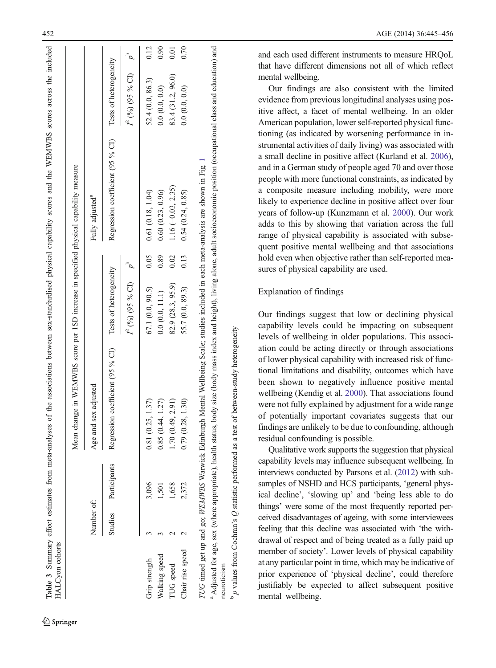| Age and sex adjusted<br>Number of:                       |                   |                           |      |                                                         |                           |      |
|----------------------------------------------------------|-------------------|---------------------------|------|---------------------------------------------------------|---------------------------|------|
|                                                          |                   |                           |      | Fully adjusted <sup>a</sup>                             |                           |      |
| Regression coefficient (95 % CI)<br>Studies Participants |                   | Tests of heterogeneity    |      | Regression coefficient (95 % CI) Tests of heterogeneity |                           |      |
|                                                          |                   | $I^2$ (%) (95 % CI) $p^b$ |      |                                                         | $I^2$ (%) (95 % CI) $p^b$ |      |
| .81 (0.25, 1.37)<br>3,096<br>Grip strength               |                   | 67.1 (0.0, 90.5)          | 0.05 | 0.61(0.18, 1.04)                                        | 52.4 (0.0, 86.3)          | 0.12 |
| 0.85(0.44, 1.27)<br>$-501$<br>Walking speed              |                   | 0.0(0.0, 11.1)            | 0.89 | 0.60(0.23, 0.96)                                        | 0.0(0.0, 0.0)             | 0.90 |
| .70(0.49, 2.91)<br>1,658<br><b>TUG</b> speed             |                   | 82.9 (28.3, 95.9)         | 0.02 | 1.16 $(-0.03, 2.35)$                                    | 83.4 (31.2, 96.0)         | 0.01 |
| 2,372<br>Chair rise speed                                | 1.79 (0.28, 1.30) | 55.7 (0.0, 89.3)          | 0.13 | 0.54(0.24, 0.85)                                        | 0.0(0.0, 0.0)             | 0.70 |

<span id="page-8-0"></span>Table 3 Summary effect estimates from meta-analyses of the associations between sex-standardised physical capability scores and the WEMWBS scores across the included

Summary effect estimates from meta-analyses of the associations between sex-standardised physical capability scores and the WEMWBS scores across the included

Springer

and each used different instruments to measure HRQoL that have different dimensions not all of which reflect mental wellbeing.

Our findings are also consistent with the limited evidence from previous longitudinal analyses using positive affect, a facet of mental wellbeing. In an older American population, lower self-reported physical functioning (as indicated by worsening performance in instrumental activities of daily living) was associated with a small decline in positive affect (Kurland et al. [2006\)](#page-11-0), and in a German study of people aged 70 and over those people with more functional constraints, as indicated by a composite measure including mobility, were more likely to experience decline in positive affect over four years of follow-up (Kunzmann et al. [2000\)](#page-11-0). Our work adds to this by showing that variation across the full range of physical capability is associated with subsequent positive mental wellbeing and that associations hold even when objective rather than self-reported measures of physical capability are used.

# Explanation of findings

 $b<sub>p</sub>$  values from Cochran's Q statistic performed as a test of between-study heterogeneity

 $b$  p values from Cochran's Q statistic performed as a test of between-study heterogeneity

Our findings suggest that low or declining physical capability levels could be impacting on subsequent levels of wellbeing in older populations. This association could be acting directly or through associations of lower physical capability with increased risk of functional limitations and disability, outcomes which have been shown to negatively influence positive mental wellbeing (Kendig et al. [2000](#page-11-0)). That associations found were not fully explained by adjustment for a wide range of potentially important covariates suggests that our findings are unlikely to be due to confounding, although residual confounding is possible.

Qualitative work supports the suggestion that physical capability levels may influence subsequent wellbeing. In interviews conducted by Parsons et al. ([2012](#page-12-0)) with subsamples of NSHD and HCS participants, 'general physical decline', 'slowing up' and 'being less able to do things ' were some of the most frequently reported perceived disadvantages of ageing, with some interviewees feeling that this decline was associated with 'the withdrawal of respect and of being treated as a fully paid up member of society '. Lower levels of physical capability at any particular point in time, which may be indicative of prior experience of 'physical decline ', could therefore justifiably be expected to affect subsequent positive mental wellbeing.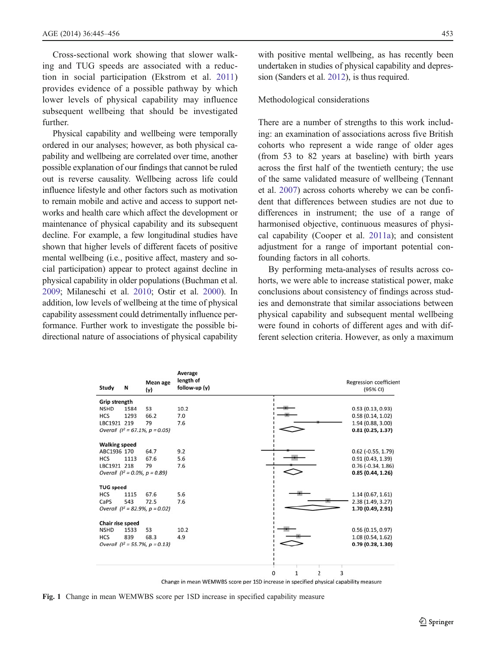<span id="page-9-0"></span>Cross-sectional work showing that slower walking and TUG speeds are associated with a reduction in social participation (Ekstrom et al. [2011\)](#page-11-0) provides evidence of a possible pathway by which lower levels of physical capability may influence subsequent wellbeing that should be investigated further.

Physical capability and wellbeing were temporally ordered in our analyses; however, as both physical capability and wellbeing are correlated over time, another possible explanation of our findings that cannot be ruled out is reverse causality. Wellbeing across life could influence lifestyle and other factors such as motivation to remain mobile and active and access to support networks and health care which affect the development or maintenance of physical capability and its subsequent decline. For example, a few longitudinal studies have shown that higher levels of different facets of positive mental wellbeing (i.e., positive affect, mastery and social participation) appear to protect against decline in physical capability in older populations (Buchman et al. [2009](#page-11-0); Milaneschi et al. [2010;](#page-12-0) Ostir et al. [2000\)](#page-12-0). In addition, low levels of wellbeing at the time of physical capability assessment could detrimentally influence performance. Further work to investigate the possible bidirectional nature of associations of physical capability with positive mental wellbeing, as has recently been undertaken in studies of physical capability and depression (Sanders et al. [2012](#page-12-0)), is thus required.

#### Methodological considerations

There are a number of strengths to this work including: an examination of associations across five British cohorts who represent a wide range of older ages (from 53 to 82 years at baseline) with birth years across the first half of the twentieth century; the use of the same validated measure of wellbeing (Tennant et al. [2007](#page-12-0)) across cohorts whereby we can be confident that differences between studies are not due to differences in instrument; the use of a range of harmonised objective, continuous measures of physical capability (Cooper et al. [2011a](#page-11-0)); and consistent adjustment for a range of important potential confounding factors in all cohorts.

By performing meta-analyses of results across cohorts, we were able to increase statistical power, make conclusions about consistency of findings across studies and demonstrate that similar associations between physical capability and subsequent mental wellbeing were found in cohorts of different ages and with different selection criteria. However, as only a maximum

| Study                | N    | Mean age<br>(y)                      | Average<br>length of<br>follow-up (y) |                          | <b>Regression coefficient</b><br>(95% CI) |
|----------------------|------|--------------------------------------|---------------------------------------|--------------------------|-------------------------------------------|
| Grip strength        |      |                                      |                                       |                          |                                           |
| <b>NSHD</b>          | 1584 | 53                                   | 10.2                                  |                          | 0.53(0.13, 0.93)                          |
| <b>HCS</b>           | 1293 | 66.2                                 | 7.0                                   |                          | 0.58(0.14, 1.02)                          |
| LBC1921 219          |      | 79                                   | 7.6                                   |                          | 1.94 (0.88, 3.00)                         |
|                      |      | Overall $(l^2 = 67.1\% , p = 0.05)$  |                                       |                          | 0.81(0.25, 1.37)                          |
| <b>Walking speed</b> |      |                                      |                                       |                          |                                           |
| ABC1936 170          |      | 64.7                                 | 9.2                                   |                          | $0.62$ ( $-0.55$ , 1.79)                  |
| <b>HCS</b>           | 1113 | 67.6                                 | 5.6                                   |                          | 0.91(0.43, 1.39)                          |
| LBC1921 218          |      | 79                                   | 7.6                                   |                          | $0.76$ (-0.34, 1.86)                      |
|                      |      | Overall $(l^2 = 0.0\% , p = 0.89)$   |                                       |                          | 0.85(0.44, 1.26)                          |
| <b>TUG speed</b>     |      |                                      |                                       |                          |                                           |
| <b>HCS</b>           | 1115 | 67.6                                 | 5.6                                   |                          | 1.14(0.67, 1.61)                          |
| CaPS                 | 543  | 72.5                                 | 7.6                                   |                          | 2.38 (1.49, 3.27)                         |
|                      |      | Overall $(l^2 = 82.9\% , p = 0.02)$  |                                       |                          | 1.70 (0.49, 2.91)                         |
| Chair rise speed     |      |                                      |                                       |                          |                                           |
| <b>NSHD</b>          | 1533 | 53                                   | 10.2                                  |                          | 0.56(0.15, 0.97)                          |
| <b>HCS</b>           | 839  | 68.3                                 | 4.9                                   |                          | 1.08(0.54, 1.62)                          |
|                      |      | Overall ( $I^2 = 55.7\%$ , p = 0.13) |                                       |                          | 0.79(0.28, 1.30)                          |
|                      |      |                                      |                                       | $\overline{2}$<br>1<br>0 | 3                                         |

Change in mean WEMWBS score per 1SD increase in specified physical capability measure

Fig. 1 Change in mean WEMWBS score per 1SD increase in specified capability measure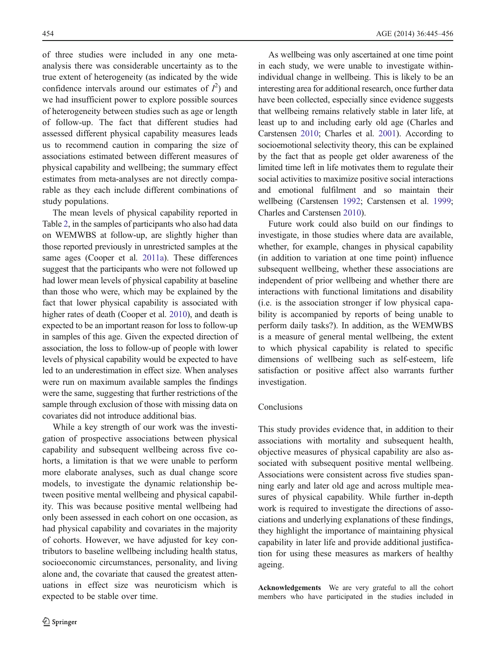of three studies were included in any one metaanalysis there was considerable uncertainty as to the true extent of heterogeneity (as indicated by the wide confidence intervals around our estimates of  $I^2$ ) and we had insufficient power to explore possible sources of heterogeneity between studies such as age or length of follow-up. The fact that different studies had assessed different physical capability measures leads us to recommend caution in comparing the size of associations estimated between different measures of physical capability and wellbeing; the summary effect estimates from meta-analyses are not directly comparable as they each include different combinations of study populations.

The mean levels of physical capability reported in Table [2](#page-7-0), in the samples of participants who also had data on WEMWBS at follow-up, are slightly higher than those reported previously in unrestricted samples at the same ages (Cooper et al. [2011a\)](#page-11-0). These differences suggest that the participants who were not followed up had lower mean levels of physical capability at baseline than those who were, which may be explained by the fact that lower physical capability is associated with higher rates of death (Cooper et al. [2010](#page-11-0)), and death is expected to be an important reason for loss to follow-up in samples of this age. Given the expected direction of association, the loss to follow-up of people with lower levels of physical capability would be expected to have led to an underestimation in effect size. When analyses were run on maximum available samples the findings were the same, suggesting that further restrictions of the sample through exclusion of those with missing data on covariates did not introduce additional bias.

While a key strength of our work was the investigation of prospective associations between physical capability and subsequent wellbeing across five cohorts, a limitation is that we were unable to perform more elaborate analyses, such as dual change score models, to investigate the dynamic relationship between positive mental wellbeing and physical capability. This was because positive mental wellbeing had only been assessed in each cohort on one occasion, as had physical capability and covariates in the majority of cohorts. However, we have adjusted for key contributors to baseline wellbeing including health status, socioeconomic circumstances, personality, and living alone and, the covariate that caused the greatest attenuations in effect size was neuroticism which is expected to be stable over time.

As wellbeing was only ascertained at one time point in each study, we were unable to investigate withinindividual change in wellbeing. This is likely to be an interesting area for additional research, once further data have been collected, especially since evidence suggests that wellbeing remains relatively stable in later life, at least up to and including early old age (Charles and Carstensen [2010](#page-11-0); Charles et al. [2001](#page-11-0)). According to socioemotional selectivity theory, this can be explained by the fact that as people get older awareness of the limited time left in life motivates them to regulate their social activities to maximize positive social interactions and emotional fulfilment and so maintain their wellbeing (Carstensen [1992;](#page-11-0) Carstensen et al. [1999;](#page-11-0) Charles and Carstensen [2010](#page-11-0)).

Future work could also build on our findings to investigate, in those studies where data are available, whether, for example, changes in physical capability (in addition to variation at one time point) influence subsequent wellbeing, whether these associations are independent of prior wellbeing and whether there are interactions with functional limitations and disability (i.e. is the association stronger if low physical capability is accompanied by reports of being unable to perform daily tasks?). In addition, as the WEMWBS is a measure of general mental wellbeing, the extent to which physical capability is related to specific dimensions of wellbeing such as self-esteem, life satisfaction or positive affect also warrants further investigation.

### Conclusions

This study provides evidence that, in addition to their associations with mortality and subsequent health, objective measures of physical capability are also associated with subsequent positive mental wellbeing. Associations were consistent across five studies spanning early and later old age and across multiple measures of physical capability. While further in-depth work is required to investigate the directions of associations and underlying explanations of these findings, they highlight the importance of maintaining physical capability in later life and provide additional justification for using these measures as markers of healthy ageing.

Acknowledgements We are very grateful to all the cohort members who have participated in the studies included in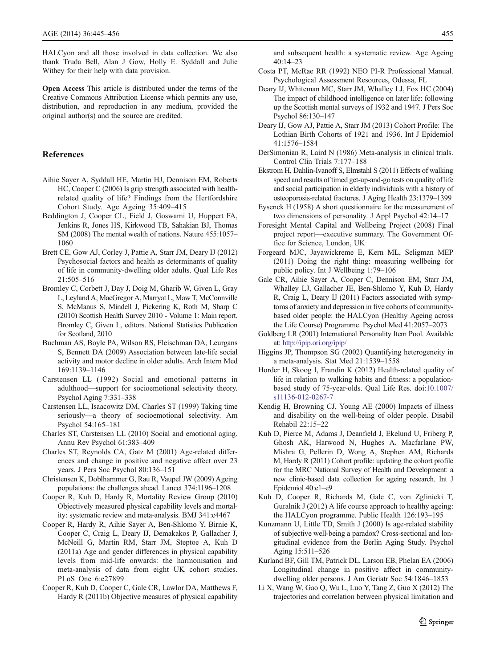<span id="page-11-0"></span>HALCyon and all those involved in data collection. We also thank Truda Bell, Alan J Gow, Holly E. Syddall and Julie Withey for their help with data provision.

Open Access This article is distributed under the terms of the Creative Commons Attribution License which permits any use, distribution, and reproduction in any medium, provided the original author(s) and the source are credited.

#### References

- Aihie Sayer A, Syddall HE, Martin HJ, Dennison EM, Roberts HC, Cooper C (2006) Is grip strength associated with healthrelated quality of life? Findings from the Hertfordshire Cohort Study. Age Ageing 35:409–415
- Beddington J, Cooper CL, Field J, Goswami U, Huppert FA, Jenkins R, Jones HS, Kirkwood TB, Sahakian BJ, Thomas SM (2008) The mental wealth of nations. Nature 455:1057– 1060
- Brett CE, Gow AJ, Corley J, Pattie A, Starr JM, Deary IJ (2012) Psychosocial factors and health as determinants of quality of life in community-dwelling older adults. Qual Life Res 21:505–516
- Bromley C, Corbett J, Day J, Doig M, Gharib W, Given L, Gray L, Leyland A, MacGregor A, Marryat L, Maw T, McConnville S, McManus S, Mindell J, Pickering K, Roth M, Sharp C (2010) Scottish Health Survey 2010 - Volume 1: Main report. Bromley C, Given L, editors. National Statistics Publication for Scotland, 2010
- Buchman AS, Boyle PA, Wilson RS, Fleischman DA, Leurgans S, Bennett DA (2009) Association between late-life social activity and motor decline in older adults. Arch Intern Med 169:1139–1146
- Carstensen LL (1992) Social and emotional patterns in adulthood—support for socioemotional selectivity theory. Psychol Aging 7:331–338
- Carstensen LL, Isaacowitz DM, Charles ST (1999) Taking time seriously—a theory of socioemotional selectivity. Am Psychol 54:165–181
- Charles ST, Carstensen LL (2010) Social and emotional aging. Annu Rev Psychol 61:383–409
- Charles ST, Reynolds CA, Gatz M (2001) Age-related differences and change in positive and negative affect over 23 years. J Pers Soc Psychol 80:136–151
- Christensen K, Doblhammer G, Rau R, Vaupel JW (2009) Ageing populations: the challenges ahead. Lancet 374:1196–1208
- Cooper R, Kuh D, Hardy R, Mortality Review Group (2010) Objectively measured physical capability levels and mortality: systematic review and meta-analysis. BMJ 341:c4467
- Cooper R, Hardy R, Aihie Sayer A, Ben-Shlomo Y, Birnie K, Cooper C, Craig L, Deary IJ, Demakakos P, Gallacher J, McNeill G, Martin RM, Starr JM, Steptoe A, Kuh D (2011a) Age and gender differences in physical capability levels from mid-life onwards: the harmonisation and meta-analysis of data from eight UK cohort studies. PLoS One 6:e27899
- Cooper R, Kuh D, Cooper C, Gale CR, Lawlor DA, Matthews F, Hardy R (2011b) Objective measures of physical capability

and subsequent health: a systematic review. Age Ageing 40:14–23

- Costa PT, McRae RR (1992) NEO PI-R Professional Manual. Psychological Assessment Resources, Odessa, FL
- Deary IJ, Whiteman MC, Starr JM, Whalley LJ, Fox HC (2004) The impact of childhood intelligence on later life: following up the Scottish mental surveys of 1932 and 1947. J Pers Soc Psychol 86:130–147
- Deary IJ, Gow AJ, Pattie A, Starr JM (2013) Cohort Profile: The Lothian Birth Cohorts of 1921 and 1936. Int J Epidemiol 41:1576–1584
- DerSimonian R, Laird N (1986) Meta-analysis in clinical trials. Control Clin Trials 7:177–188
- Ekstrom H, Dahlin-Ivanoff S, Elmstahl S (2011) Effects of walking speed and results of timed get-up-and-go tests on quality of life and social participation in elderly individuals with a history of osteoporosis-related fractures. J Aging Health 23:1379–1399
- Eysenck H (1958) A short questionnaire for the measurement of two dimensions of personality. J Appl Psychol 42:14–17
- Foresight Mental Capital and Wellbeing Project (2008) Final project report—executive summary. The Government Office for Science, London, UK
- Forgeard MJC, Jayawickreme E, Kern ML, Seligman MEP (2011) Doing the right thing: measuring wellbeing for public policy. Int J Wellbeing 1:79–106
- Gale CR, Aihie Sayer A, Cooper C, Dennison EM, Starr JM, Whalley LJ, Gallacher JE, Ben-Shlomo Y, Kuh D, Hardy R, Craig L, Deary IJ (2011) Factors associated with symptoms of anxiety and depression in five cohorts of communitybased older people: the HALCyon (Healthy Ageing across the Life Course) Programme. Psychol Med 41:2057–2073
- Goldberg LR (2001) International Personality Item Pool. Available at: <http://ipip.ori.org/ipip/>
- Higgins JP, Thompson SG (2002) Quantifying heterogeneity in a meta-analysis. Stat Med 21:1539–1558
- Horder H, Skoog I, Frandin K (2012) Health-related quality of life in relation to walking habits and fitness: a populationbased study of 75-year-olds. Qual Life Res. doi[:10.1007/](http://dx.doi.org/10.1007/s11136-012-0267-7) [s11136-012-0267-7](http://dx.doi.org/10.1007/s11136-012-0267-7)
- Kendig H, Browning CJ, Young AE (2000) Impacts of illness and disability on the well-being of older people. Disabil Rehabil 22:15–22
- Kuh D, Pierce M, Adams J, Deanfield J, Ekelund U, Friberg P, Ghosh AK, Harwood N, Hughes A, Macfarlane PW, Mishra G, Pellerin D, Wong A, Stephen AM, Richards M, Hardy R (2011) Cohort profile: updating the cohort profile for the MRC National Survey of Health and Development: a new clinic-based data collection for ageing research. Int J Epidemiol 40:e1–e9
- Kuh D, Cooper R, Richards M, Gale C, von Zglinicki T, Guralnik J (2012) A life course approach to healthy ageing: the HALCyon programme. Public Health 126:193–195
- Kunzmann U, Little TD, Smith J (2000) Is age-related stability of subjective well-being a paradox? Cross-sectional and longitudinal evidence from the Berlin Aging Study. Psychol Aging 15:511–526
- Kurland BF, Gill TM, Patrick DL, Larson EB, Phelan EA (2006) Longitudinal change in positive affect in communitydwelling older persons. J Am Geriatr Soc 54:1846–1853
- Li X, Wang W, Gao Q, Wu L, Luo Y, Tang Z, Guo X (2012) The trajectories and correlation between physical limitation and